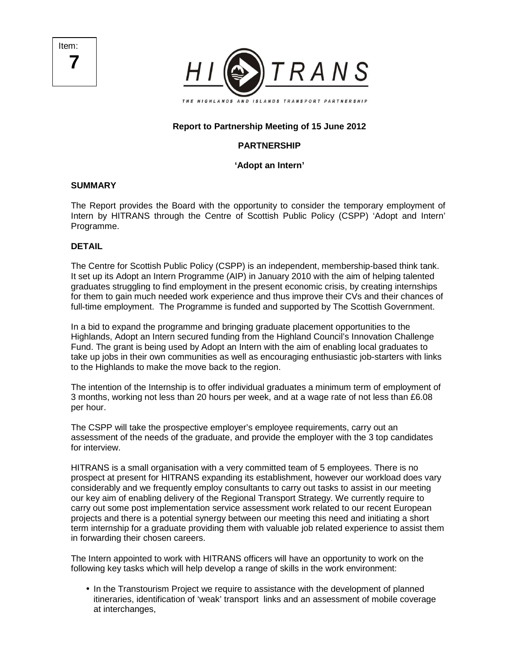Item: **7** 



# **Report to Partnership Meeting of 15 June 2012**

# **PARTNERSHIP**

# **'Adopt an Intern'**

### **SUMMARY**

The Report provides the Board with the opportunity to consider the temporary employment of Intern by HITRANS through the Centre of Scottish Public Policy (CSPP) 'Adopt and Intern' Programme.

#### **DETAIL**

The Centre for Scottish Public Policy (CSPP) is an independent, membership-based think tank. It set up its Adopt an Intern Programme (AIP) in January 2010 with the aim of helping talented graduates struggling to find employment in the present economic crisis, by creating internships for them to gain much needed work experience and thus improve their CVs and their chances of full-time employment. The Programme is funded and supported by The Scottish Government.

In a bid to expand the programme and bringing graduate placement opportunities to the Highlands, Adopt an Intern secured funding from the Highland Council's Innovation Challenge Fund. The grant is being used by Adopt an Intern with the aim of enabling local graduates to take up jobs in their own communities as well as encouraging enthusiastic job-starters with links to the Highlands to make the move back to the region.

The intention of the Internship is to offer individual graduates a minimum term of employment of 3 months, working not less than 20 hours per week, and at a wage rate of not less than £6.08 per hour.

The CSPP will take the prospective employer's employee requirements, carry out an assessment of the needs of the graduate, and provide the employer with the 3 top candidates for interview.

HITRANS is a small organisation with a very committed team of 5 employees. There is no prospect at present for HITRANS expanding its establishment, however our workload does vary considerably and we frequently employ consultants to carry out tasks to assist in our meeting our key aim of enabling delivery of the Regional Transport Strategy. We currently require to carry out some post implementation service assessment work related to our recent European projects and there is a potential synergy between our meeting this need and initiating a short term internship for a graduate providing them with valuable job related experience to assist them in forwarding their chosen careers.

The Intern appointed to work with HITRANS officers will have an opportunity to work on the following key tasks which will help develop a range of skills in the work environment:

• In the Transtourism Project we require to assistance with the development of planned itineraries, identification of 'weak' transport links and an assessment of mobile coverage at interchanges,